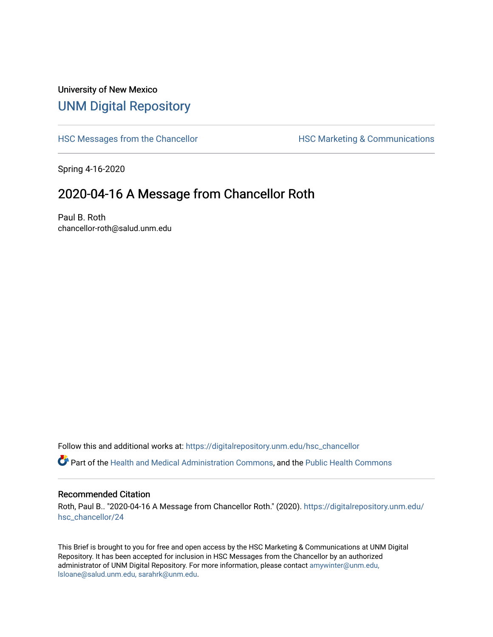## University of New Mexico [UNM Digital Repository](https://digitalrepository.unm.edu/)

[HSC Messages from the Chancellor](https://digitalrepository.unm.edu/hsc_chancellor) **HSC Marketing & Communications** 

Spring 4-16-2020

## 2020-04-16 A Message from Chancellor Roth

Paul B. Roth chancellor-roth@salud.unm.edu

Follow this and additional works at: [https://digitalrepository.unm.edu/hsc\\_chancellor](https://digitalrepository.unm.edu/hsc_chancellor?utm_source=digitalrepository.unm.edu%2Fhsc_chancellor%2F24&utm_medium=PDF&utm_campaign=PDFCoverPages) 

Part of the [Health and Medical Administration Commons](http://network.bepress.com/hgg/discipline/663?utm_source=digitalrepository.unm.edu%2Fhsc_chancellor%2F24&utm_medium=PDF&utm_campaign=PDFCoverPages), and the [Public Health Commons](http://network.bepress.com/hgg/discipline/738?utm_source=digitalrepository.unm.edu%2Fhsc_chancellor%2F24&utm_medium=PDF&utm_campaign=PDFCoverPages) 

#### Recommended Citation

Roth, Paul B.. "2020-04-16 A Message from Chancellor Roth." (2020). [https://digitalrepository.unm.edu/](https://digitalrepository.unm.edu/hsc_chancellor/24?utm_source=digitalrepository.unm.edu%2Fhsc_chancellor%2F24&utm_medium=PDF&utm_campaign=PDFCoverPages) [hsc\\_chancellor/24](https://digitalrepository.unm.edu/hsc_chancellor/24?utm_source=digitalrepository.unm.edu%2Fhsc_chancellor%2F24&utm_medium=PDF&utm_campaign=PDFCoverPages) 

This Brief is brought to you for free and open access by the HSC Marketing & Communications at UNM Digital Repository. It has been accepted for inclusion in HSC Messages from the Chancellor by an authorized administrator of UNM Digital Repository. For more information, please contact [amywinter@unm.edu,](mailto:amywinter@unm.edu,%20lsloane@salud.unm.edu,%20sarahrk@unm.edu) [lsloane@salud.unm.edu, sarahrk@unm.edu.](mailto:amywinter@unm.edu,%20lsloane@salud.unm.edu,%20sarahrk@unm.edu)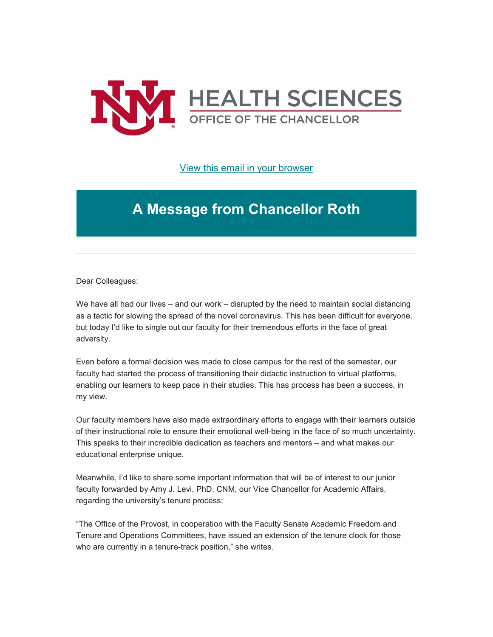

[View this email in your browser](https://mailchi.mp/c14c72f058f5/message-from-the-chancellor-coronavirus-4388488?e=b4bbfca2c0)

# **A Message from Chancellor Roth**

Dear Colleagues:

We have all had our lives – and our work – disrupted by the need to maintain social distancing as a tactic for slowing the spread of the novel coronavirus. This has been difficult for everyone, but today I'd like to single out our faculty for their tremendous efforts in the face of great adversity.

Even before a formal decision was made to close campus for the rest of the semester, our faculty had started the process of transitioning their didactic instruction to virtual platforms, enabling our learners to keep pace in their studies. This has process has been a success, in my view.

Our faculty members have also made extraordinary efforts to engage with their learners outside of their instructional role to ensure their emotional well-being in the face of so much uncertainty. This speaks to their incredible dedication as teachers and mentors – and what makes our educational enterprise unique.

Meanwhile, I'd like to share some important information that will be of interest to our junior faculty forwarded by Amy J. Levi, PhD, CNM, our Vice Chancellor for Academic Affairs, regarding the university's tenure process:

"The Office of the Provost, in cooperation with the Faculty Senate Academic Freedom and Tenure and Operations Committees, have issued an extension of the tenure clock for those who are currently in a tenure-track position," she writes.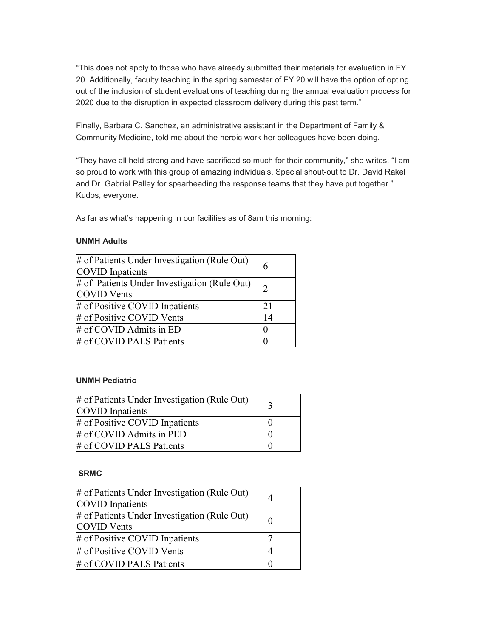"This does not apply to those who have already submitted their materials for evaluation in FY 20. Additionally, faculty teaching in the spring semester of FY 20 will have the option of opting out of the inclusion of student evaluations of teaching during the annual evaluation process for 2020 due to the disruption in expected classroom delivery during this past term."

Finally, Barbara C. Sanchez, an administrative assistant in the Department of Family & Community Medicine, told me about the heroic work her colleagues have been doing.

"They have all held strong and have sacrificed so much for their community," she writes. "I am so proud to work with this group of amazing individuals. Special shout-out to Dr. David Rakel and Dr. Gabriel Palley for spearheading the response teams that they have put together." Kudos, everyone.

As far as what's happening in our facilities as of 8am this morning:

### **UNMH Adults**

| # of Patients Under Investigation (Rule Out)<br><b>COVID</b> Inpatients |    |
|-------------------------------------------------------------------------|----|
| # of Patients Under Investigation (Rule Out)<br><b>COVID Vents</b>      |    |
| # of Positive COVID Inpatients                                          |    |
| # of Positive COVID Vents                                               | 14 |
| # of COVID Admits in ED                                                 |    |
| # of COVID PALS Patients                                                |    |

### **UNMH Pediatric**

| # of Patients Under Investigation (Rule Out)<br><b>COVID</b> Inpatients |  |
|-------------------------------------------------------------------------|--|
| # of Positive COVID Inpatients                                          |  |
| # of COVID Admits in PED                                                |  |
| # of COVID PALS Patients                                                |  |

### **SRMC**

| # of Patients Under Investigation (Rule Out)<br><b>COVID</b> Inpatients |  |
|-------------------------------------------------------------------------|--|
| # of Patients Under Investigation (Rule Out)<br><b>COVID</b> Vents      |  |
| # of Positive COVID Inpatients                                          |  |
| # of Positive COVID Vents                                               |  |
| # of COVID PALS Patients                                                |  |